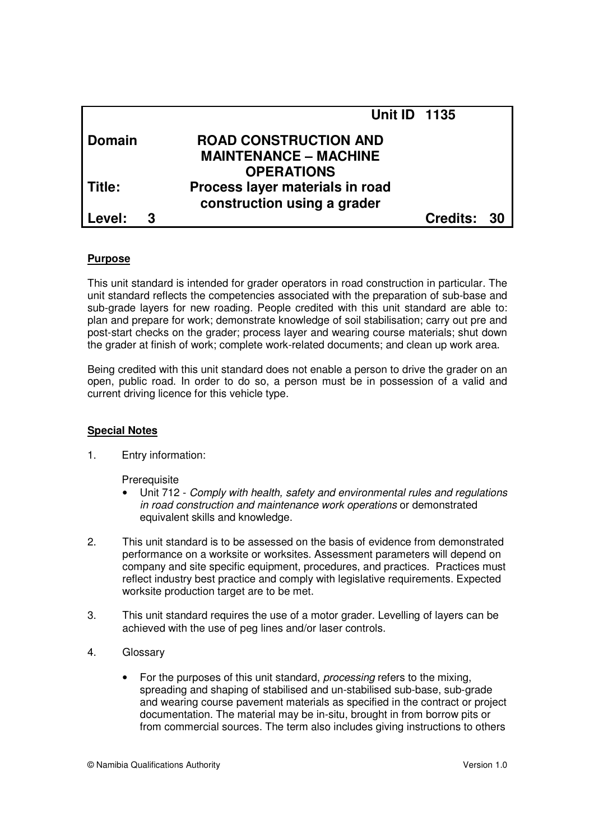|               |   | <b>Unit ID 1135</b>             |             |  |
|---------------|---|---------------------------------|-------------|--|
| <b>Domain</b> |   | <b>ROAD CONSTRUCTION AND</b>    |             |  |
|               |   | <b>MAINTENANCE - MACHINE</b>    |             |  |
|               |   | <b>OPERATIONS</b>               |             |  |
| l Title:      |   | Process layer materials in road |             |  |
|               |   | construction using a grader     |             |  |
| l Level:      | З |                                 | Credits: 30 |  |

## **Purpose**

This unit standard is intended for grader operators in road construction in particular. The unit standard reflects the competencies associated with the preparation of sub-base and sub-grade layers for new roading. People credited with this unit standard are able to: plan and prepare for work; demonstrate knowledge of soil stabilisation; carry out pre and post-start checks on the grader; process layer and wearing course materials; shut down the grader at finish of work; complete work-related documents; and clean up work area.

Being credited with this unit standard does not enable a person to drive the grader on an open, public road. In order to do so, a person must be in possession of a valid and current driving licence for this vehicle type.

## **Special Notes**

1. Entry information:

**Prerequisite** 

- Unit 712 Comply with health, safety and environmental rules and regulations in road construction and maintenance work operations or demonstrated equivalent skills and knowledge.
- 2. This unit standard is to be assessed on the basis of evidence from demonstrated performance on a worksite or worksites. Assessment parameters will depend on company and site specific equipment, procedures, and practices. Practices must reflect industry best practice and comply with legislative requirements. Expected worksite production target are to be met.
- 3. This unit standard requires the use of a motor grader. Levelling of layers can be achieved with the use of peg lines and/or laser controls.
- 4. Glossary
	- For the purposes of this unit standard, *processing* refers to the mixing, spreading and shaping of stabilised and un-stabilised sub-base, sub-grade and wearing course pavement materials as specified in the contract or project documentation. The material may be in-situ, brought in from borrow pits or from commercial sources. The term also includes giving instructions to others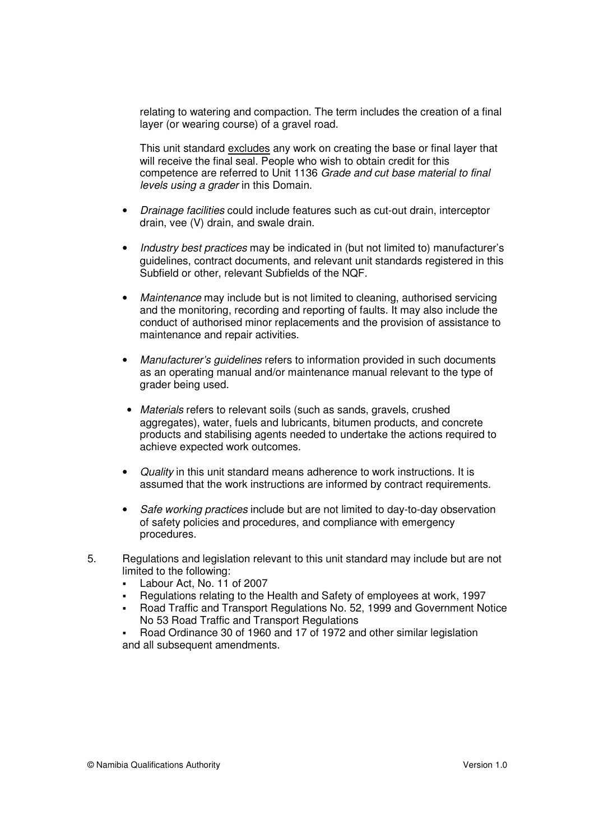relating to watering and compaction. The term includes the creation of a final layer (or wearing course) of a gravel road.

This unit standard excludes any work on creating the base or final layer that will receive the final seal. People who wish to obtain credit for this competence are referred to Unit 1136 Grade and cut base material to final levels using a grader in this Domain.

- Drainage facilities could include features such as cut-out drain, interceptor drain, vee (V) drain, and swale drain.
- Industry best practices may be indicated in (but not limited to) manufacturer's guidelines, contract documents, and relevant unit standards registered in this Subfield or other, relevant Subfields of the NQF.
- Maintenance may include but is not limited to cleaning, authorised servicing and the monitoring, recording and reporting of faults. It may also include the conduct of authorised minor replacements and the provision of assistance to maintenance and repair activities.
- Manufacturer's guidelines refers to information provided in such documents as an operating manual and/or maintenance manual relevant to the type of grader being used.
- Materials refers to relevant soils (such as sands, gravels, crushed aggregates), water, fuels and lubricants, bitumen products, and concrete products and stabilising agents needed to undertake the actions required to achieve expected work outcomes.
- Quality in this unit standard means adherence to work instructions. It is assumed that the work instructions are informed by contract requirements.
- Safe working practices include but are not limited to day-to-day observation of safety policies and procedures, and compliance with emergency procedures.
- 5. Regulations and legislation relevant to this unit standard may include but are not limited to the following:
	- Labour Act, No. 11 of 2007
	- Regulations relating to the Health and Safety of employees at work, 1997
	- Road Traffic and Transport Regulations No. 52, 1999 and Government Notice No 53 Road Traffic and Transport Regulations
	- Road Ordinance 30 of 1960 and 17 of 1972 and other similar legislation and all subsequent amendments.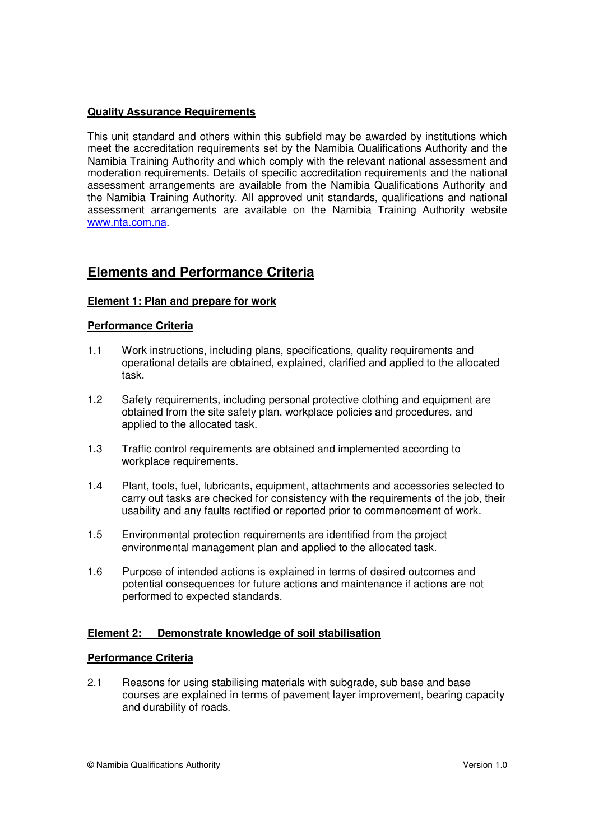## **Quality Assurance Requirements**

This unit standard and others within this subfield may be awarded by institutions which meet the accreditation requirements set by the Namibia Qualifications Authority and the Namibia Training Authority and which comply with the relevant national assessment and moderation requirements. Details of specific accreditation requirements and the national assessment arrangements are available from the Namibia Qualifications Authority and the Namibia Training Authority. All approved unit standards, qualifications and national assessment arrangements are available on the Namibia Training Authority website www.nta.com.na.

## **Elements and Performance Criteria**

## **Element 1: Plan and prepare for work**

## **Performance Criteria**

- 1.1 Work instructions, including plans, specifications, quality requirements and operational details are obtained, explained, clarified and applied to the allocated task.
- 1.2 Safety requirements, including personal protective clothing and equipment are obtained from the site safety plan, workplace policies and procedures, and applied to the allocated task.
- 1.3 Traffic control requirements are obtained and implemented according to workplace requirements.
- 1.4 Plant, tools, fuel, lubricants, equipment, attachments and accessories selected to carry out tasks are checked for consistency with the requirements of the job, their usability and any faults rectified or reported prior to commencement of work.
- 1.5 Environmental protection requirements are identified from the project environmental management plan and applied to the allocated task.
- 1.6 Purpose of intended actions is explained in terms of desired outcomes and potential consequences for future actions and maintenance if actions are not performed to expected standards.

## **Element 2: Demonstrate knowledge of soil stabilisation**

## **Performance Criteria**

2.1 Reasons for using stabilising materials with subgrade, sub base and base courses are explained in terms of pavement layer improvement, bearing capacity and durability of roads.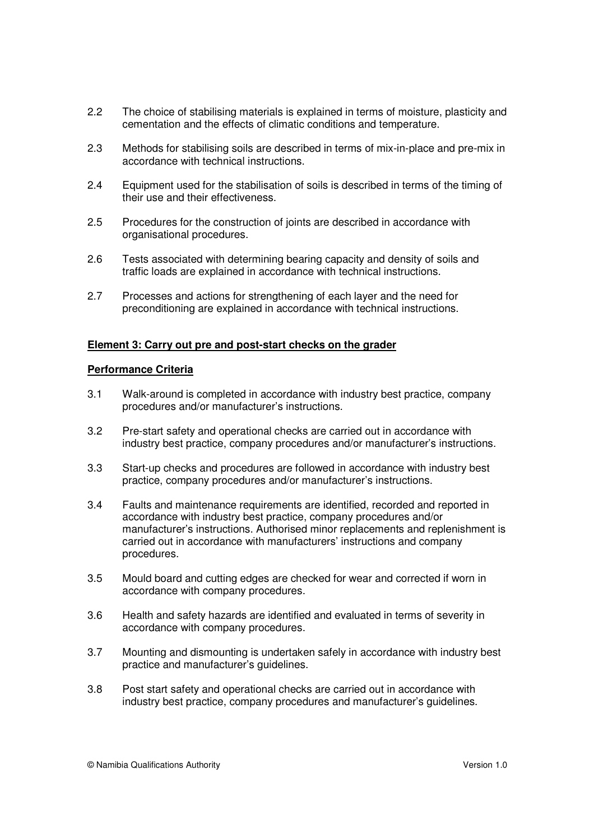- 2.2 The choice of stabilising materials is explained in terms of moisture, plasticity and cementation and the effects of climatic conditions and temperature.
- 2.3 Methods for stabilising soils are described in terms of mix-in-place and pre-mix in accordance with technical instructions.
- 2.4 Equipment used for the stabilisation of soils is described in terms of the timing of their use and their effectiveness.
- 2.5 Procedures for the construction of joints are described in accordance with organisational procedures.
- 2.6 Tests associated with determining bearing capacity and density of soils and traffic loads are explained in accordance with technical instructions.
- 2.7 Processes and actions for strengthening of each layer and the need for preconditioning are explained in accordance with technical instructions.

## **Element 3: Carry out pre and post-start checks on the grader**

## **Performance Criteria**

- 3.1 Walk-around is completed in accordance with industry best practice, company procedures and/or manufacturer's instructions.
- 3.2 Pre-start safety and operational checks are carried out in accordance with industry best practice, company procedures and/or manufacturer's instructions.
- 3.3 Start-up checks and procedures are followed in accordance with industry best practice, company procedures and/or manufacturer's instructions.
- 3.4 Faults and maintenance requirements are identified, recorded and reported in accordance with industry best practice, company procedures and/or manufacturer's instructions. Authorised minor replacements and replenishment is carried out in accordance with manufacturers' instructions and company procedures.
- 3.5 Mould board and cutting edges are checked for wear and corrected if worn in accordance with company procedures.
- 3.6 Health and safety hazards are identified and evaluated in terms of severity in accordance with company procedures.
- 3.7 Mounting and dismounting is undertaken safely in accordance with industry best practice and manufacturer's guidelines.
- 3.8 Post start safety and operational checks are carried out in accordance with industry best practice, company procedures and manufacturer's guidelines.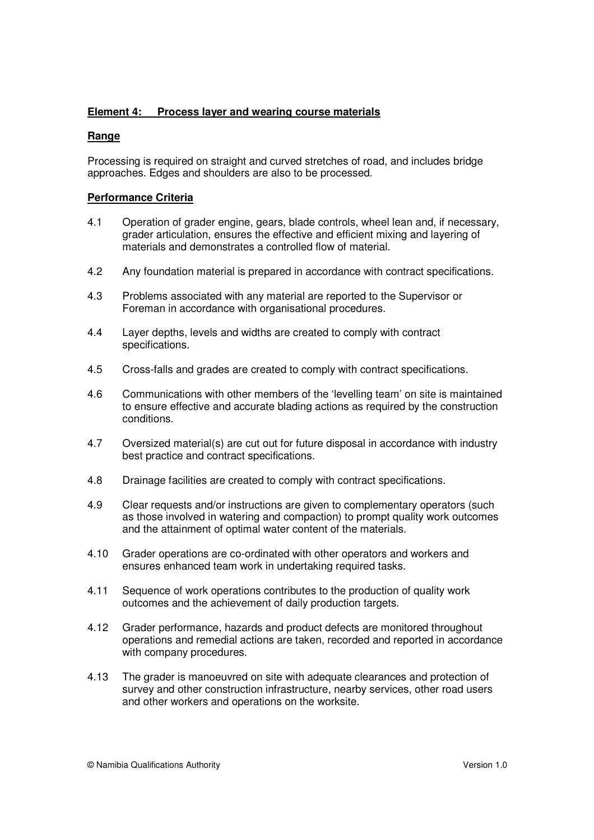## **Element 4: Process layer and wearing course materials**

## **Range**

Processing is required on straight and curved stretches of road, and includes bridge approaches. Edges and shoulders are also to be processed.

## **Performance Criteria**

- 4.1 Operation of grader engine, gears, blade controls, wheel lean and, if necessary, grader articulation, ensures the effective and efficient mixing and layering of materials and demonstrates a controlled flow of material.
- 4.2 Any foundation material is prepared in accordance with contract specifications.
- 4.3 Problems associated with any material are reported to the Supervisor or Foreman in accordance with organisational procedures.
- 4.4 Layer depths, levels and widths are created to comply with contract specifications.
- 4.5 Cross-falls and grades are created to comply with contract specifications.
- 4.6 Communications with other members of the 'levelling team' on site is maintained to ensure effective and accurate blading actions as required by the construction conditions.
- 4.7 Oversized material(s) are cut out for future disposal in accordance with industry best practice and contract specifications.
- 4.8 Drainage facilities are created to comply with contract specifications.
- 4.9 Clear requests and/or instructions are given to complementary operators (such as those involved in watering and compaction) to prompt quality work outcomes and the attainment of optimal water content of the materials.
- 4.10 Grader operations are co-ordinated with other operators and workers and ensures enhanced team work in undertaking required tasks.
- 4.11 Sequence of work operations contributes to the production of quality work outcomes and the achievement of daily production targets.
- 4.12 Grader performance, hazards and product defects are monitored throughout operations and remedial actions are taken, recorded and reported in accordance with company procedures.
- 4.13 The grader is manoeuvred on site with adequate clearances and protection of survey and other construction infrastructure, nearby services, other road users and other workers and operations on the worksite.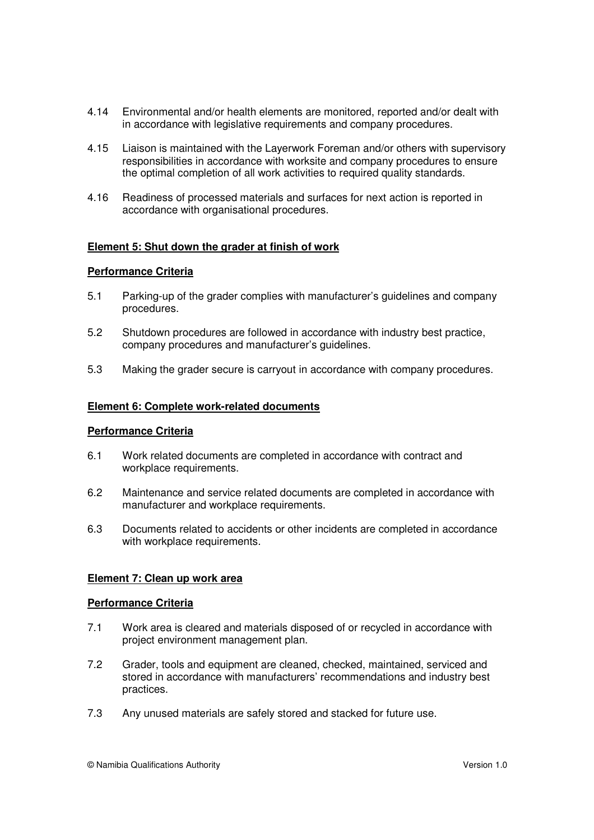- 4.14 Environmental and/or health elements are monitored, reported and/or dealt with in accordance with legislative requirements and company procedures.
- 4.15 Liaison is maintained with the Layerwork Foreman and/or others with supervisory responsibilities in accordance with worksite and company procedures to ensure the optimal completion of all work activities to required quality standards.
- 4.16 Readiness of processed materials and surfaces for next action is reported in accordance with organisational procedures.

## **Element 5: Shut down the grader at finish of work**

## **Performance Criteria**

- 5.1 Parking-up of the grader complies with manufacturer's guidelines and company procedures.
- 5.2 Shutdown procedures are followed in accordance with industry best practice, company procedures and manufacturer's guidelines.
- 5.3 Making the grader secure is carryout in accordance with company procedures.

## **Element 6: Complete work-related documents**

## **Performance Criteria**

- 6.1 Work related documents are completed in accordance with contract and workplace requirements.
- 6.2 Maintenance and service related documents are completed in accordance with manufacturer and workplace requirements.
- 6.3 Documents related to accidents or other incidents are completed in accordance with workplace requirements.

## **Element 7: Clean up work area**

## **Performance Criteria**

- 7.1 Work area is cleared and materials disposed of or recycled in accordance with project environment management plan.
- 7.2 Grader, tools and equipment are cleaned, checked, maintained, serviced and stored in accordance with manufacturers' recommendations and industry best practices.
- 7.3 Any unused materials are safely stored and stacked for future use.